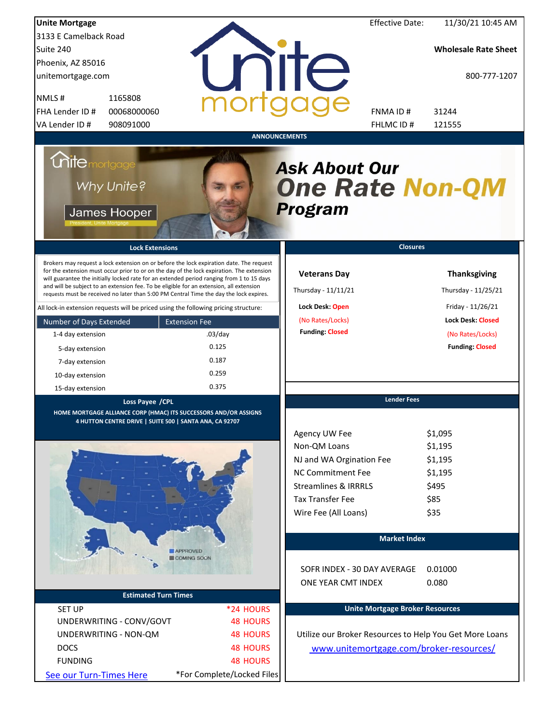| <b>Unite Mortgage</b>                                                                                                                                                                                                                                                                                                                                                                                                                                                                                                                                                                                                                           |                                    | <b>Effective Date:</b>                                                                                                            | 11/30/21 10:45 AM                                                                  |
|-------------------------------------------------------------------------------------------------------------------------------------------------------------------------------------------------------------------------------------------------------------------------------------------------------------------------------------------------------------------------------------------------------------------------------------------------------------------------------------------------------------------------------------------------------------------------------------------------------------------------------------------------|------------------------------------|-----------------------------------------------------------------------------------------------------------------------------------|------------------------------------------------------------------------------------|
| 3133 E Camelback Road                                                                                                                                                                                                                                                                                                                                                                                                                                                                                                                                                                                                                           |                                    |                                                                                                                                   |                                                                                    |
| Suite 240                                                                                                                                                                                                                                                                                                                                                                                                                                                                                                                                                                                                                                       |                                    |                                                                                                                                   | <b>Wholesale Rate Sheet</b>                                                        |
| Phoenix, AZ 85016                                                                                                                                                                                                                                                                                                                                                                                                                                                                                                                                                                                                                               |                                    |                                                                                                                                   |                                                                                    |
| unitemortgage.com                                                                                                                                                                                                                                                                                                                                                                                                                                                                                                                                                                                                                               |                                    | nite                                                                                                                              | 800-777-1207                                                                       |
| 1165808<br>NMLS#                                                                                                                                                                                                                                                                                                                                                                                                                                                                                                                                                                                                                                |                                    |                                                                                                                                   |                                                                                    |
| FHA Lender ID #<br>00068000060                                                                                                                                                                                                                                                                                                                                                                                                                                                                                                                                                                                                                  |                                    | FNMA ID#                                                                                                                          | 31244                                                                              |
| VA Lender ID #<br>908091000                                                                                                                                                                                                                                                                                                                                                                                                                                                                                                                                                                                                                     |                                    | FHLMC ID #                                                                                                                        | 121555                                                                             |
| <i>Chite</i> mortgage<br>Why Unite?<br>James Hooper<br><b>Lock Extensions</b><br>Brokers may request a lock extension on or before the lock expiration date. The request<br>for the extension must occur prior to or on the day of the lock expiration. The extension<br>will guarantee the initially locked rate for an extended period ranging from 1 to 15 days<br>and will be subject to an extension fee. To be eligible for an extension, all extension<br>requests must be received no later than 5:00 PM Central Time the day the lock expires.<br>All lock-in extension requests will be priced using the following pricing structure: |                                    | <b>Ask About Our</b><br><b>One Rate Non-QM</b><br><b>Program</b><br><b>Veterans Day</b><br>Thursday - 11/11/21<br>Lock Desk: Open | <b>Closures</b><br><b>Thanksgiving</b><br>Thursday - 11/25/21<br>Friday - 11/26/21 |
|                                                                                                                                                                                                                                                                                                                                                                                                                                                                                                                                                                                                                                                 |                                    | (No Rates/Locks)                                                                                                                  | <b>Lock Desk: Closed</b>                                                           |
| Number of Days Extended<br>1-4 day extension                                                                                                                                                                                                                                                                                                                                                                                                                                                                                                                                                                                                    | <b>Extension Fee</b><br>$.03$ /day | <b>Funding: Closed</b>                                                                                                            | (No Rates/Locks)                                                                   |
|                                                                                                                                                                                                                                                                                                                                                                                                                                                                                                                                                                                                                                                 | 0.125                              |                                                                                                                                   | <b>Funding: Closed</b>                                                             |
| 5-day extension                                                                                                                                                                                                                                                                                                                                                                                                                                                                                                                                                                                                                                 | 0.187                              |                                                                                                                                   |                                                                                    |
| 7-day extension                                                                                                                                                                                                                                                                                                                                                                                                                                                                                                                                                                                                                                 | 0.259                              |                                                                                                                                   |                                                                                    |
| 10-day extension                                                                                                                                                                                                                                                                                                                                                                                                                                                                                                                                                                                                                                | 0.375                              |                                                                                                                                   |                                                                                    |
| 15-day extension                                                                                                                                                                                                                                                                                                                                                                                                                                                                                                                                                                                                                                |                                    |                                                                                                                                   | <b>Lender Fees</b>                                                                 |
| Loss Payee / CPL<br>HOME MORTGAGE ALLIANCE CORP (HMAC) ITS SUCCESSORS AND/OR ASSIGNS<br>4 HUTTON CENTRE DRIVE   SUITE 500   SANTA ANA, CA 92707                                                                                                                                                                                                                                                                                                                                                                                                                                                                                                 |                                    | Agency UW Fee                                                                                                                     | \$1,095                                                                            |
|                                                                                                                                                                                                                                                                                                                                                                                                                                                                                                                                                                                                                                                 |                                    | Non-QM Loans                                                                                                                      | \$1,195                                                                            |
|                                                                                                                                                                                                                                                                                                                                                                                                                                                                                                                                                                                                                                                 |                                    | NJ and WA Orgination Fee                                                                                                          | \$1,195                                                                            |
|                                                                                                                                                                                                                                                                                                                                                                                                                                                                                                                                                                                                                                                 |                                    | <b>NC Commitment Fee</b>                                                                                                          | \$1,195                                                                            |
|                                                                                                                                                                                                                                                                                                                                                                                                                                                                                                                                                                                                                                                 |                                    | <b>Streamlines &amp; IRRRLS</b>                                                                                                   | \$495                                                                              |
|                                                                                                                                                                                                                                                                                                                                                                                                                                                                                                                                                                                                                                                 |                                    | <b>Tax Transfer Fee</b>                                                                                                           | \$85                                                                               |
|                                                                                                                                                                                                                                                                                                                                                                                                                                                                                                                                                                                                                                                 |                                    | Wire Fee (All Loans)                                                                                                              | \$35                                                                               |
|                                                                                                                                                                                                                                                                                                                                                                                                                                                                                                                                                                                                                                                 |                                    |                                                                                                                                   | <b>Market Index</b>                                                                |
|                                                                                                                                                                                                                                                                                                                                                                                                                                                                                                                                                                                                                                                 | APPROVED<br><b>COMING SOON</b>     |                                                                                                                                   |                                                                                    |
|                                                                                                                                                                                                                                                                                                                                                                                                                                                                                                                                                                                                                                                 |                                    | SOFR INDEX - 30 DAY AVERAGE<br>ONE YEAR CMT INDEX                                                                                 | 0.01000<br>0.080                                                                   |
| <b>Estimated Turn Times</b>                                                                                                                                                                                                                                                                                                                                                                                                                                                                                                                                                                                                                     |                                    |                                                                                                                                   |                                                                                    |
| <b>SET UP</b>                                                                                                                                                                                                                                                                                                                                                                                                                                                                                                                                                                                                                                   | *24 HOURS                          |                                                                                                                                   | <b>Unite Mortgage Broker Resources</b>                                             |
| UNDERWRITING - CONV/GOVT                                                                                                                                                                                                                                                                                                                                                                                                                                                                                                                                                                                                                        | <b>48 HOURS</b>                    |                                                                                                                                   |                                                                                    |
| UNDERWRITING - NON-QM                                                                                                                                                                                                                                                                                                                                                                                                                                                                                                                                                                                                                           | <b>48 HOURS</b>                    |                                                                                                                                   | Utilize our Broker Resources to Help You Get More Loans                            |
| <b>DOCS</b>                                                                                                                                                                                                                                                                                                                                                                                                                                                                                                                                                                                                                                     | <b>48 HOURS</b>                    |                                                                                                                                   | www.unitemortgage.com/broker-resources/                                            |
| <b>FUNDING</b>                                                                                                                                                                                                                                                                                                                                                                                                                                                                                                                                                                                                                                  | <b>48 HOURS</b>                    |                                                                                                                                   |                                                                                    |
| See our Turn-Times Here                                                                                                                                                                                                                                                                                                                                                                                                                                                                                                                                                                                                                         | *For Complete/Locked Files         |                                                                                                                                   |                                                                                    |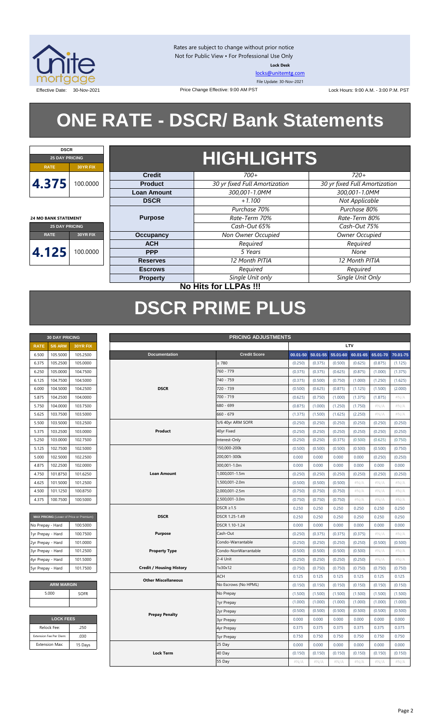

Rates are subject to change without prior notice Not for Public View • For Professional Use Only **Lock Desk**

[locks@unitemtg.com](mailto:locks@unitemtg.com) File Update: 30-Nov-2021

Effective Date: 30-Nov-2021 2011 2012 Price Change Effective: 9:00 AM PST Lock Hours: 9:00 A.M. - 3:00 P.M. PST

## **ONE RATE - DSCR/ Bank Statements**

Price Change Effective: 9:00 AM PST



**24 MO BANK STATEMENT**

## **HIGHLIGHTS**

| $\cdots$            | .                                                                                                                                                                                                                                                                                                                                                                                                                                                                                 |                    |                               |                               |  |  |
|---------------------|-----------------------------------------------------------------------------------------------------------------------------------------------------------------------------------------------------------------------------------------------------------------------------------------------------------------------------------------------------------------------------------------------------------------------------------------------------------------------------------|--------------------|-------------------------------|-------------------------------|--|--|
|                     |                                                                                                                                                                                                                                                                                                                                                                                                                                                                                   | <b>Credit</b>      | $700+$                        |                               |  |  |
| 4.375               | 00.0000                                                                                                                                                                                                                                                                                                                                                                                                                                                                           | <b>Product</b>     | 30 yr fixed Full Amortization | 30 yr fixed Full Amortization |  |  |
|                     |                                                                                                                                                                                                                                                                                                                                                                                                                                                                                   | <b>Loan Amount</b> | 300,001-1.0MM                 | 300,001-1.0MM                 |  |  |
|                     | $720+$<br>Not Applicable<br><b>DSCR</b><br>$+1.100$<br>Purchase 70%<br>Purchase 80%<br>Rate-Term 70%<br>Rate-Term 80%<br><b>Purpose</b><br>Cash-Out 65%<br>Cash-Out 75%<br><b>25 DAY PRICING</b><br>Non Owner Occupied<br><b>Owner Occupied</b><br><b>Occupancy</b><br><b>RATE</b><br>30YR FIX<br>Required<br>Required<br><b>ACH</b><br>00.0000<br><b>PPP</b><br>5 Years<br>None<br>12 Month PITIA<br>12 Month PITIA<br><b>Reserves</b><br>Required<br>Required<br><b>Escrows</b> |                    |                               |                               |  |  |
|                     |                                                                                                                                                                                                                                                                                                                                                                                                                                                                                   |                    |                               |                               |  |  |
| 4 MO BANK STATEMENT |                                                                                                                                                                                                                                                                                                                                                                                                                                                                                   |                    |                               |                               |  |  |
|                     |                                                                                                                                                                                                                                                                                                                                                                                                                                                                                   |                    |                               |                               |  |  |
|                     |                                                                                                                                                                                                                                                                                                                                                                                                                                                                                   |                    |                               |                               |  |  |
|                     |                                                                                                                                                                                                                                                                                                                                                                                                                                                                                   |                    |                               |                               |  |  |
| 4.125               |                                                                                                                                                                                                                                                                                                                                                                                                                                                                                   |                    |                               |                               |  |  |
|                     |                                                                                                                                                                                                                                                                                                                                                                                                                                                                                   |                    |                               |                               |  |  |
|                     |                                                                                                                                                                                                                                                                                                                                                                                                                                                                                   |                    |                               |                               |  |  |
|                     |                                                                                                                                                                                                                                                                                                                                                                                                                                                                                   | <b>Property</b>    | Single Unit only              | Single Unit Only              |  |  |
|                     |                                                                                                                                                                                                                                                                                                                                                                                                                                                                                   |                    |                               |                               |  |  |

#### **No Hits for LLPAs !!!**

## **DSCR PRIME PLUS**

|             | <b>30 DAY PRICING</b> |                 |  |  |  |  |  |  |
|-------------|-----------------------|-----------------|--|--|--|--|--|--|
| <b>RATE</b> | <b>5/6 ARM</b>        | <b>30YR FIX</b> |  |  |  |  |  |  |
| 6.500       | 105.5000              | 105.2500        |  |  |  |  |  |  |
| 6.375       | 105.2500              | 105.0000        |  |  |  |  |  |  |
| 6.250       | 105.0000              | 104.7500        |  |  |  |  |  |  |
| 6.125       | 104.7500              | 104.5000        |  |  |  |  |  |  |
| 6.000       | 104.5000              | 104.2500        |  |  |  |  |  |  |
| 5.875       | 104.2500              | 104.0000        |  |  |  |  |  |  |
| 5.750       | 104.0000              | 103.7500        |  |  |  |  |  |  |
| 5.625       | 103.7500              | 103.5000        |  |  |  |  |  |  |
| 5.500       | 103.5000              | 103.2500        |  |  |  |  |  |  |
| 5.375       | 103.2500              | 103.0000        |  |  |  |  |  |  |
| 5.250       | 103.0000              | 102.7500        |  |  |  |  |  |  |
| 5.125       | 102.7500              | 102.5000        |  |  |  |  |  |  |
| 5.000       | 102.5000              | 102.2500        |  |  |  |  |  |  |
| 4.875       | 102.2500              | 102.0000        |  |  |  |  |  |  |
| 4.750       | 101.8750              | 101.6250        |  |  |  |  |  |  |
| 4.625       | 101.5000              | 101.2500        |  |  |  |  |  |  |
| 4.500       | 101.1250              | 100.8750        |  |  |  |  |  |  |
| 4.375       | 100.7500              | 100,5000        |  |  |  |  |  |  |

| MAX PRICING (Lower of Price or Premium) |          |
|-----------------------------------------|----------|
| No Prepay - Hard                        | 100.5000 |
| 1yr Prepay - Hard                       | 100.7500 |
| 2yr Prepay - Hard                       | 101.0000 |
| 3yr Prepay - Hard                       | 101.2500 |
| 4yr Prepay - Hard                       | 101.5000 |
| 5yr Prepay - Hard                       | 101.7500 |

| <b>ARM MARGIN</b> |             |  |  |  |  |
|-------------------|-------------|--|--|--|--|
| 5.000             | <b>SOFR</b> |  |  |  |  |
|                   |             |  |  |  |  |

| <b>LOCK FEES</b> |  |  |  |  |  |  |
|------------------|--|--|--|--|--|--|
| .250             |  |  |  |  |  |  |
| .030             |  |  |  |  |  |  |
| 15 Days          |  |  |  |  |  |  |
|                  |  |  |  |  |  |  |

| <b>PRICING ADJUSTMENTS</b><br><b>30 DAY PRICING</b> |                         |                                         |                                 |  |                      |          |          |          |          |          |          |
|-----------------------------------------------------|-------------------------|-----------------------------------------|---------------------------------|--|----------------------|----------|----------|----------|----------|----------|----------|
| <b>RATE</b>                                         | <b>5/6 ARM</b>          | 30YR FIX                                |                                 |  |                      |          |          |          | LTV      |          |          |
| 6.500                                               | 105.5000                | 105.2500                                | <b>Documentation</b>            |  | <b>Credit Score</b>  | 00.01-50 | 50.01-55 | 55.01-60 | 60.01-65 | 65.01-70 | 70.01-75 |
| 6.375                                               | 105.2500                | 105.0000                                |                                 |  | $\geq 780$           | (0.250)  | (0.375)  | (0.500)  | (0.625)  | (0.875)  | (1.125)  |
| 6.250                                               | 105.0000                | 104.7500                                |                                 |  | 760 - 779            | (0.375)  | (0.375)  | (0.625)  | (0.875)  | (1.000)  | (1.375)  |
| 6.125                                               | 104.7500                | 104.5000                                |                                 |  | 740 - 759            | (0.375)  | (0.500)  | (0.750)  | (1.000)  | (1.250)  | (1.625)  |
| 6.000                                               | 104.5000                | 104.2500                                | <b>DSCR</b>                     |  | 720 - 739            | (0.500)  | (0.625)  | (0.875)  | (1.125)  | (1.500)  | (2.000)  |
| 5.875                                               | 104.2500                | 104.0000                                |                                 |  | 700 - 719            | (0.625)  | (0.750)  | (1.000)  | (1.375)  | (1.875)  | #N/A     |
| 5.750                                               | 104.0000                | 103.7500                                |                                 |  | 680 - 699            | (0.875)  | (1.000)  | (1.250)  | (1.750)  | $\#N/A$  | $\#N/A$  |
| 5.625                                               | 103.7500                | 103.5000                                |                                 |  | 660 - 679            | (1.375)  | (1.500)  | (1.625)  | (2.250)  | $\#N/A$  | $\#N/A$  |
| 5.500                                               | 103.5000                | 103.2500                                |                                 |  | 5/6 40yr ARM SOFR    | (0.250)  | (0.250)  | (0.250)  | (0.250)  | (0.250)  | (0.250)  |
| 5.375                                               | 103.2500                | 103.0000                                | Product                         |  | 40yr Fixed           | (0.250)  | (0.250)  | (0.250)  | (0.250)  | (0.250)  | (0.250)  |
| 5.250                                               | 103.0000                | 102.7500                                |                                 |  | Interest-Only        | (0.250)  | (0.250)  | (0.375)  | (0.500)  | (0.625)  | (0.750)  |
| 5.125                                               | 102.7500                | 102.5000                                |                                 |  | 150,000-200k         | (0.500)  | (0.500)  | (0.500)  | (0.500)  | (0.500)  | (0.750)  |
| 5.000                                               | 102.5000                | 102.2500                                |                                 |  | 200,001-300k         | 0.000    | 0.000    | 0.000    | 0.000    | (0.250)  | (0.250)  |
| 4.875                                               | 102.2500                | 102.0000                                |                                 |  | 300,001-1.0m         | 0.000    | 0.000    | 0.000    | 0.000    | 0.000    | 0.000    |
| 4.750                                               | 101.8750                | 101.6250                                | <b>Loan Amount</b>              |  | 1,000,001-1.5m       | (0.250)  | (0.250)  | (0.250)  | (0.250)  | (0.250)  | (0.250)  |
| 4.625                                               | 101.5000                | 101.2500                                |                                 |  | 1,500,001-2.0m       | (0.500)  | (0.500)  | (0.500)  | $\#N/A$  | #N/A     | #N/A     |
| 4.500                                               | 101.1250                | 100.8750                                |                                 |  | 2,000,001-2.5m       | (0.750)  | (0.750)  | (0.750)  | $\#N/A$  | $\#N/A$  | #N/A     |
| 4.375                                               | 100.7500                | 100.5000                                |                                 |  | 2,500,001-3.0m       | (0.750)  | (0.750)  | (0.750)  | $\#N/A$  | #N/A     | #N/A     |
|                                                     |                         |                                         |                                 |  | $DSCR \geq 1.5$      | 0.250    | 0.250    | 0.250    | 0.250    | 0.250    | 0.250    |
|                                                     |                         | MAX PRICING (Lower of Price or Premium) | <b>DSCR</b>                     |  | DSCR 1.25-1.49       | 0.250    | 0.250    | 0.250    | 0.250    | 0.250    | 0.250    |
| No Prepay - Hard                                    |                         | 100.5000                                |                                 |  | DSCR 1.10-1.24       | 0.000    | 0.000    | 0.000    | 0.000    | 0.000    | 0.000    |
| 1yr Prepay - Hard                                   |                         | 100.7500                                | <b>Purpose</b>                  |  | Cash-Out             | (0.250)  | (0.375)  | (0.375)  | (0.375)  | $\#N/A$  | $\#N/A$  |
| 2yr Prepay - Hard                                   |                         | 101.0000                                |                                 |  | Condo-Warrantable    | (0.250)  | (0.250)  | (0.250)  | (0.250)  | (0.500)  | (0.500)  |
| 3yr Prepay - Hard                                   |                         | 101.2500                                | <b>Property Type</b>            |  | Condo-NonWarrantable | (0.500)  | (0.500)  | (0.500)  | (0.500)  | #N/A     | #N/A     |
| 4yr Prepay - Hard                                   |                         | 101.5000                                |                                 |  | 2-4 Unit             | (0.250)  | (0.250)  | (0.250)  | (0.250)  | $\#N/A$  | $\#N/A$  |
| 5yr Prepay - Hard                                   |                         | 101.7500                                | <b>Credit / Housing History</b> |  | 1x30x12              | (0.750)  | (0.750)  | (0.750)  | (0.750)  | (0.750)  | (0.750)  |
|                                                     |                         |                                         | <b>Other Miscellaneous</b>      |  | <b>ACH</b>           | 0.125    | 0.125    | 0.125    | 0.125    | 0.125    | 0.125    |
|                                                     | <b>ARM MARGIN</b>       |                                         |                                 |  | No Escrows (No HPML) | (0.150)  | (0.150)  | (0.150)  | (0.150)  | (0.150)  | (0.150)  |
|                                                     | 5.000                   | SOFR                                    |                                 |  | No Prepay            | (1.500)  | (1.500)  | (1.500)  | (1.500)  | (1.500)  | (1.500)  |
|                                                     |                         |                                         |                                 |  | 1yr Prepay           | (1.000)  | (1.000)  | (1.000)  | (1.000)  | (1.000)  | (1.000)  |
|                                                     |                         |                                         | <b>Prepay Penalty</b>           |  | 2yr Prepay           | (0.500)  | (0.500)  | (0.500)  | (0.500)  | (0.500)  | (0.500)  |
|                                                     | <b>LOCK FEES</b>        |                                         |                                 |  | <b>3yr Prepay</b>    | 0.000    | 0.000    | 0.000    | 0.000    | 0.000    | 0.000    |
|                                                     | Relock Fee:             | .250                                    |                                 |  | 4yr Prepay           | 0.375    | 0.375    | 0.375    | 0.375    | 0.375    | 0.375    |
|                                                     | Extension Fee Per Diem: | .030                                    |                                 |  | 5yr Prepay           | 0.750    | 0.750    | 0.750    | 0.750    | 0.750    | 0.750    |
|                                                     | <b>Extension Max:</b>   | 15 Days                                 |                                 |  | 25 Day               | 0.000    | 0.000    | 0.000    | 0.000    | 0.000    | 0.000    |
|                                                     |                         |                                         | <b>Lock Term</b>                |  | 40 Day               | (0.150)  | (0.150)  | (0.150)  | (0.150)  | (0.150)  | (0.150)  |
|                                                     |                         |                                         |                                 |  | 55 Day               | #N/A     | #N/A     | #N/A     | #N/A     | #N/A     | $\#N/A$  |
|                                                     |                         |                                         |                                 |  |                      |          |          |          |          |          |          |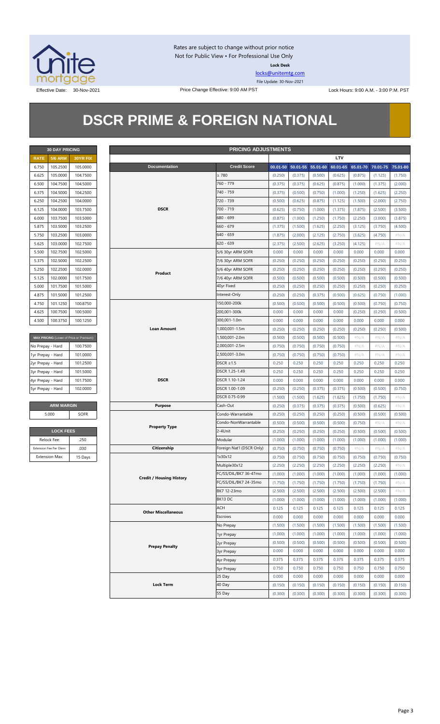

Rates are subject to change without prior notice Not for Public View • For Professional Use Only **Lock Desk**

[locks@unitemtg.com](mailto:locks@unitemtg.com) File Update: 30-Nov-2021

Effective Date: 30-Nov-2021 Price Change Effective: 9:00 AM PST Lock Hours: 9:00 A.M. - 3:00 P.M. PST

## **DSCR PRIME & FOREIGN NATIONAL**

|             | <b>30 DAY PRICING</b> |                 |
|-------------|-----------------------|-----------------|
| <b>RATE</b> | <b>5/6 ARM</b>        | <b>30YR FIX</b> |
| 6.750       | 105.2500              | 105.0000        |
| 6.625       | 105.0000              | 104.7500        |
| 6.500       | 104.7500              | 104.5000        |
| 6.375       | 104.5000              | 104.2500        |
| 6.250       | 104.2500              | 104.0000        |
| 6 125       | 104.0000              | 103.7500        |
| 6.000       | 103.7500              | 103.5000        |
| 5.875       | 103.5000              | 103.2500        |
| 5.750       | 103.2500              | 103.0000        |
| 5.625       | 103.0000              | 102.7500        |
| 5.500       | 102.7500              | 102.5000        |
| 5.375       | 102.5000              | 102.2500        |
| 5.250       | 102.2500              | 102.0000        |
| 5125        | 102,0000              | 101.7500        |
| 5.000       | 101.7500              | 101.5000        |
| 4875        | 101.5000              | 101.2500        |
| 4.750       | 101.1250              | 100.8750        |
| 4.625       | 100.7500              | 100.5000        |
| 4.500       | 100.3750              | 100.1250        |

| MAX PRICING (Lower of Price or Premium) |          |
|-----------------------------------------|----------|
| No Prepay - Hard                        | 100.7500 |
| 1yr Prepay - Hard                       | 101.0000 |
| 2yr Prepay - Hard                       | 101.2500 |
| 3yr Prepay - Hard                       | 101.5000 |
| 4yr Prepay - Hard                       | 101.7500 |
| 5yr Prepay - Hard                       | 102,0000 |

| <b>ARM MARGIN</b> |      |  |  |  |
|-------------------|------|--|--|--|
| 5.000             | SOFR |  |  |  |

| <b>LOCK FEES</b>        |         |  |  |  |  |  |
|-------------------------|---------|--|--|--|--|--|
| Relock Fee:             | .250    |  |  |  |  |  |
| Extension Fee Per Diem: | .030    |  |  |  |  |  |
| <b>Extension Max:</b>   | 15 Days |  |  |  |  |  |

| <b>30 DAY PRICING</b><br><b>PRICING ADJUSTMENTS</b> |                         |                                         |                                 |                           |         |                            |         |          |          |          |          |
|-----------------------------------------------------|-------------------------|-----------------------------------------|---------------------------------|---------------------------|---------|----------------------------|---------|----------|----------|----------|----------|
| <b>RATE</b>                                         | <b>5/6 ARM</b>          | 30YR FIX                                |                                 |                           |         |                            |         | LTV      |          |          |          |
| 6.750                                               | 105.2500                | 105.0000                                | Documentation                   | <b>Credit Score</b>       |         | 00.01-50 50.01-55 55.01-60 |         | 60.01-65 | 65.01-70 | 70.01-75 | 75.01-80 |
| 6.625                                               | 105.0000                | 104.7500                                |                                 | $\geq 780$                | (0.250) | (0.375)                    | (0.500) | (0.625)  | (0.875)  | (1.125)  | (1.750)  |
| 6.500                                               | 104.7500                | 104.5000                                |                                 | 760 - 779                 | (0.375) | (0.375)                    | (0.625) | (0.875)  | (1.000)  | (1.375)  | (2.000)  |
| 6.375                                               | 104.5000                | 104.2500                                |                                 | 740 - 759                 | (0.375) | (0.500)                    | (0.750) | (1.000)  | (1.250)  | (1.625)  | (2.250)  |
| 6.250                                               | 104.2500                | 104.0000                                |                                 | 720 - 739                 | (0.500) | (0.625)                    | (0.875) | (1.125)  | (1.500)  | (2.000)  | (2.750)  |
| 6.125                                               | 104.0000                | 103.7500                                | <b>DSCR</b>                     | 700 - 719                 | (0.625) | (0.750)                    | (1.000) | (1.375)  | (1.875)  | (2.500)  | (3.500)  |
| 6.000                                               | 103.7500                | 103.5000                                |                                 | 680 - 699                 | (0.875) | (1.000)                    | (1.250) | (1.750)  | (2.250)  | (3.000)  | (3.875)  |
| 5.875                                               | 103.5000                | 103.2500                                |                                 | $660 - 679$               | (1.375) | (1.500)                    | (1.625) | (2.250)  | (3.125)  | (3.750)  | (4.500)  |
| 5.750                                               | 103.2500                | 103.0000                                |                                 | $640 - 659$               | (1.875) | (2.000)                    | (2.125) | (2.750)  | (3.625)  | (4.750)  | $\#N/A$  |
| 5.625                                               | 103.0000                | 102.7500                                |                                 | $620 - 639$               | (2.375) | (2.500)                    | (2.625) | (3.250)  | (4.125)  | $\#N/A$  | $\#N/A$  |
| 5.500                                               | 102.7500                | 102.5000                                |                                 | 5/6 30yr ARM SOFR         | 0.000   | 0.000                      | 0.000   | 0.000    | 0.000    | 0.000    | 0.000    |
| 5.375                                               | 102.5000                | 102.2500                                |                                 | 7/6 30yr ARM SOFR         | (0.250) | (0.250)                    | (0.250) | (0.250)  | (0.250)  | (0.250)  | (0.250)  |
| 5.250                                               | 102.2500                | 102.0000                                |                                 | 5/6 40yr ARM SOFR         | (0.250) | (0.250)                    | (0.250) | (0.250)  | (0.250)  | (0.250)  | (0.250)  |
| 5.125                                               | 102.0000                | 101.7500                                | Product                         | 7/6 40yr ARM SOFR         | (0.500) | (0.500)                    | (0.500) | (0.500)  | (0.500)  | (0.500)  | (0.500)  |
| 5.000                                               | 101.7500                | 101.5000                                |                                 | 40yr Fixed                | (0.250) | (0.250)                    | (0.250) | (0.250)  | (0.250)  | (0.250)  | (0.250)  |
| 4.875                                               | 101.5000                | 101.2500                                |                                 | Interest-Only             | (0.250) | (0.250)                    | (0.375) | (0.500)  | (0.625)  | (0.750)  | (1.000)  |
| 4.750                                               | 101.1250                | 100.8750                                |                                 | 150,000-200k              | (0.500) | (0.500)                    | (0.500) | (0.500)  | (0.500)  | (0.750)  | (0.750)  |
| 4.625                                               | 100.7500                | 100.5000                                |                                 | 200,001-300k              | 0.000   | 0.000                      | 0.000   | 0.000    | (0.250)  | (0.250)  | (0.500)  |
| 4.500                                               | 100.3750                | 100.1250                                |                                 | 300,001-1.0m              | 0.000   | 0.000                      | 0.000   | 0.000    | 0.000    | 0.000    | 0.000    |
|                                                     |                         |                                         | <b>Loan Amount</b>              | 1,000,001-1.5m            | (0.250) | (0.250)                    | (0.250) | (0.250)  | (0.250)  | (0.250)  | (0.500)  |
|                                                     |                         | MAX PRICING (Lower of Price or Premium) |                                 | 1,500,001-2.0m            | (0.500) | (0.500)                    | (0.500) | (0.500)  | $\#N/A$  | $\#N/A$  | $\#N/A$  |
| No Prepay - Hard                                    |                         | 100.7500                                |                                 | 2,000,001-2.5m            | (0.750) | (0.750)                    | (0.750) | (0.750)  | $\#N/A$  | $\#N/A$  | $\#N/A$  |
| 1yr Prepay - Hard                                   |                         | 101.0000                                |                                 | 2,500,001-3.0m            | (0.750) | (0.750)                    | (0.750) | (0.750)  | $\#N/A$  | $\#N/A$  | $\#N/A$  |
| 2yr Prepay - Hard                                   |                         | 101.2500                                |                                 | DSCR $\geq$ 1.5           | 0.250   | 0.250                      | 0.250   | 0.250    | 0.250    | 0.250    | 0.250    |
| 3yr Prepay - Hard                                   |                         | 101.5000                                |                                 | DSCR 1.25-1.49            | 0.250   | 0.250                      | 0.250   | 0.250    | 0.250    | 0.250    | 0.250    |
| 4yr Prepay - Hard                                   |                         | 101.7500                                | <b>DSCR</b>                     | DSCR 1.10-1.24            | 0.000   | 0.000                      | 0.000   | 0.000    | 0.000    | 0.000    | 0.000    |
| 5yr Prepay - Hard                                   |                         | 102.0000                                |                                 | DSCR 1.00-1.09            | (0.250) | (0.250)                    | (0.375) | (0.375)  | (0.500)  | (0.500)  | (0.750)  |
|                                                     |                         |                                         |                                 | DSCR 0.75-0.99            | (1.500) | (1.500)                    | (1.625) | (1.625)  | (1.750)  | (1.750)  | $\#N/A$  |
|                                                     | <b>ARM MARGIN</b>       |                                         | <b>Purpose</b>                  | Cash-Out                  | (0.250) | (0.375)                    | (0.375) | (0.375)  | (0.500)  | (0.625)  | $\#N/A$  |
|                                                     | 5.000                   | SOFR                                    |                                 | Condo-Warrantable         | (0.250) | (0.250)                    | (0.250) | (0.250)  | (0.500)  | (0.500)  | (0.500)  |
|                                                     |                         |                                         |                                 | Condo-NonWarrantable      | (0.500) | (0.500)                    | (0.500) | (0.500)  | (0.750)  | #N/A     | $\#N/A$  |
|                                                     | <b>LOCK FEES</b>        |                                         | <b>Property Type</b>            | 2-4Unit                   | (0.250) | (0.250)                    | (0.250) | (0.250)  | (0.500)  | (0.500)  | (0.500)  |
|                                                     | Relock Fee:             | .250                                    |                                 | Modular                   | (1.000) | (1.000)                    | (1.000) | (1.000)  | (1.000)  | (1.000)  | (1.000)  |
|                                                     | Extension Fee Per Diem: | .030                                    | Citizenship                     | Foreign Nat'l (DSCR Only) | (0.750) | (0.750)                    | (0.750) | (0.750)  | $\#N/A$  | $\#N/A$  | $\#N/A$  |
|                                                     | <b>Extension Max:</b>   | 15 Days                                 |                                 | 1x30x12                   | (0.750) | (0.750)                    | (0.750) | (0.750)  | (0.750)  | (0.750)  | (0.750)  |
|                                                     |                         |                                         |                                 | Multiple30x12             | (2.250) | (2.250)                    | (2.250) | (2.250)  | (2.250)  | (2.250)  |          |
|                                                     |                         |                                         |                                 | FC/SS/DIL/BK7 36-47mo     | (1.000) | (1.000)                    | (1.000) | (1.000)  | (1.000)  | (1.000)  | (1.000)  |
|                                                     |                         |                                         | <b>Credit / Housing History</b> | FC/SS/DIL/BK7 24-35mo     | (1.750) | (1.750)                    | (1.750) | (1.750)  | (1.750)  | (1.750)  | $\#N/A$  |
|                                                     |                         |                                         |                                 | BK7 12-23mo               | (2.500) | (2.500)                    | (2.500) | (2.500)  | (2.500)  | (2.500)  | $\#N/A$  |
|                                                     |                         |                                         |                                 | BK13DC                    | (1.000) | (1.000)                    | (1.000) | (1.000)  | (1.000)  | (1.000)  | (1.000)  |
|                                                     |                         |                                         |                                 | ACH                       | 0.125   | 0.125                      | 0.125   | 0.125    | 0.125    | 0.125    | 0.125    |
|                                                     |                         |                                         | <b>Other Miscellaneous</b>      | Escrows                   | 0.000   | 0.000                      | 0.000   | 0.000    | 0.000    | 0.000    | 0.000    |
|                                                     |                         |                                         |                                 | No Prepay                 | (1.500) | (1.500)                    | (1.500) | (1.500)  | (1.500)  | (1.500)  | (1.500)  |
|                                                     |                         |                                         |                                 | 1yr Prepay                | (1.000) | (1.000)                    | (1.000) | (1.000)  | (1.000)  | (1.000)  | (1.000)  |
|                                                     |                         |                                         |                                 | 2yr Prepay                | (0.500) | (0.500)                    | (0.500) | (0.500)  | (0.500)  | (0.500)  | (0.500)  |
|                                                     |                         |                                         | <b>Prepay Penalty</b>           | 3yr Prepay                | 0.000   | 0.000                      | 0.000   | 0.000    | 0.000    | 0.000    | 0.000    |
|                                                     |                         |                                         |                                 | 4yr Prepay                | 0.375   | 0.375                      | 0.375   | 0.375    | 0.375    | 0.375    | 0.375    |
|                                                     |                         |                                         |                                 | 5yr Prepay                | 0.750   | 0.750                      | 0.750   | 0.750    | 0.750    | 0.750    | 0.750    |
|                                                     |                         |                                         |                                 | 25 Day                    | 0.000   | 0.000                      | 0.000   | 0.000    | 0.000    | 0.000    | 0.000    |
|                                                     |                         |                                         | <b>Lock Term</b>                | 40 Day                    | (0.150) | (0.150)                    | (0.150) | (0.150)  | (0.150)  | (0.150)  | (0.150)  |
|                                                     |                         |                                         |                                 | 55 Day                    | (0.300) | (0.300)                    | (0.300) | (0.300)  | (0.300)  | (0.300)  | (0.300)  |
|                                                     |                         |                                         |                                 |                           |         |                            |         |          |          |          |          |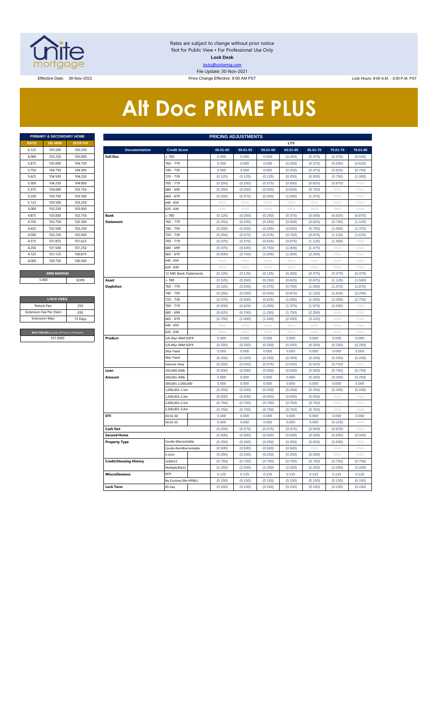

Rates are subject to change without prior notice Not for Public View • For Professional Use Only **Lock Desk** locks@unitemtg.com File Update: 30-Nov-2021

Effective: 9:00 AM PST Lock Hours: 9:00 AM. - 3:00 P.M. PST Lock Hours: 9:00 AM. - 3:00 P.M. PST

# **Alt Doc PRIME PLUS**

|             | <b>PRIMARY &amp; SECONDARY HOME</b> |                 |
|-------------|-------------------------------------|-----------------|
| <b>RATE</b> | <b>5/6 ARM</b>                      | <b>30YR FIX</b> |
| 6.125       | 105,500                             | 105.250         |
| 6.000       | 105.250                             | 105,000         |
| 5.875       | 105.000                             | 104.750         |
| 5.750       | 104.750                             | 104.500         |
| 5.625       | 104.500                             | 104.250         |
| 5.500       | 104.250                             | 104,000         |
| 5.375       | 104.000                             | 103.750         |
| 5.250       | 103.750                             | 103,500         |
| 5.125       | 103.500                             | 103.250         |
| 5.000       | 103.250                             | 103,000         |
| 4.875       | 103,000                             | 102.750         |
| 4.750       | 102.750                             | 102.500         |
| 4.625       | 102.500                             | 102.250         |
| 4.500       | 102.250                             | 102.000         |
| 4.375       | 101.875                             | 101.625         |
| 4.250       | 101.500                             | 101.250         |
| 4.125       | 101.125                             | 100.875         |
| 4.000       | 100.750                             | 100.500         |
|             |                                     |                 |
|             | <b>ARM MARGIN</b>                   |                 |

| <b>LOCK FEES</b>                        |         |  |  |  |  |  |  |  |  |
|-----------------------------------------|---------|--|--|--|--|--|--|--|--|
| Relock Fee:                             | 250     |  |  |  |  |  |  |  |  |
| <b>Extension Fee Per Diem</b>           | .030    |  |  |  |  |  |  |  |  |
| <b>Extension Max:</b>                   | 15 Days |  |  |  |  |  |  |  |  |
|                                         |         |  |  |  |  |  |  |  |  |
| MAX PRICING (Lower of Price or Premium) |         |  |  |  |  |  |  |  |  |
| 101,0000                                |         |  |  |  |  |  |  |  |  |

|                       | PRIMARY & SECONDARY HOME                |                 |                               |                        | <b>PRICING ADJUSTMENTS</b> |          |          |                           |          |          |          |
|-----------------------|-----------------------------------------|-----------------|-------------------------------|------------------------|----------------------------|----------|----------|---------------------------|----------|----------|----------|
| RATE                  | <b>5/6 ARM</b>                          | <b>30YR FIX</b> |                               |                        |                            |          |          | LTV                       |          |          |          |
| 6.125                 | 105.500                                 | 105.250         | <b>Documentation</b>          | <b>Credit Score</b>    | 00.01-50                   | 50.01-55 | 55.01-60 | 60.01-65                  | 65.01-70 | 70.01-75 | 75.01-80 |
| 6.000                 | 105.250                                 | 105.000         | <b>Full Doc</b>               | $\geq 780$             | 0.000                      | 0.000    | 0.000    | (0.250)                   | (0.375)  | (0.375)  | (0.500)  |
| 5.875                 | 105.000                                 | 104.750         |                               | 760 - 779              | 0.000                      | 0.000    | 0.000    | (0.250)                   | (0.375)  | (0.500)  | (0.625)  |
| 5.750                 | 104.750                                 | 104.500         |                               | 740 - 759              | 0.000                      | 0.000    | 0.000    | (0.250)                   | (0.375)  | (0.625)  | (0.750)  |
| 5.625                 | 104.500                                 | 104.250         |                               | 720 - 739              | (0.125)                    | (0.125)  | (0.125)  | (0.250)                   | (0.500)  | (0.750)  | (1.000)  |
| 5.500                 | 104.250                                 | 104.000         |                               | 700 - 719              | (0.250)                    | (0.250)  | (0.375)  | (0.500)                   | (0.625)  | (0.875)  | #N/A     |
| 5.375                 | 104.000                                 | 103.750         |                               | 680 - 699              | (0.250)                    | (0.250)  | (0.500)  | (0.625)                   | (0.750)  | #N/A     | #N/A     |
| 5.250                 | 103.750                                 | 103.500         |                               | 660 - 679              | (0.250)                    | (0.375)  | (0.500)  | (1.000)                   | (1.375)  | #N/A     | $\#N/A$  |
| 5.125                 | 103.500                                 | 103.250         |                               | 640 - 659              | #N/A                       | #N/A     | #N/A     | #N/A                      | #N/A     | #N/A     | #N/A     |
| 5.000                 | 103.250                                 | 103.000         |                               | 620 - 639              | #N/A                       | #N/A     | #N/A     | #N/A                      | #N/A     | #N/A     | #N/A     |
| 4.875                 | 103.000                                 | 102.750         | <b>Bank</b>                   | $\geq 780$             | (0.125)                    | (0.250)  | (0.250)  | (0.375)                   | (0.500)  | (0.625)  | (0.875)  |
| 4.750                 | 102.750                                 | 102.500         | <b>Statement</b>              | 760 - 779              | (0.250)                    | (0.250)  | (0.250)  | (0.500)                   | (0.625)  | (0.750)  | (1.125)  |
| 4.625                 | 102.500                                 | 102.250         |                               | 740 - 759              | (0.250)                    | (0.250)  | (0.250)  | (0.625)                   | (0.750)  | (1.000)  | (1.375)  |
| 4.500                 | 102.250                                 | 102.000         |                               | 720 - 739              | (0.250)                    | (0.375)  | (0.375)  | (0.750)                   | (0.875)  | (1.125)  | (1.625)  |
| 4.375                 | 101.875                                 | 101.625         |                               | 700 - 719              | (0.375)                    | (0.375)  | (0.625)  | (0.875)                   | (1.125)  | (1.500)  | #N//     |
| 4.250                 | 101.500                                 | 101.250         |                               | 680 - 699              | (0.375)                    | (0.500)  | (0.750)  | (1.000)                   | (1.375)  | #N/A     | #N/A     |
| 4.125                 | 101.125                                 | 100.875         |                               | 560 - 679              | (0.500)                    | (0.750)  | (1.000)  | (1.500)                   | (2.250)  | #N/A     | #N/A     |
| 4.000                 | 100.750                                 | 100.500         |                               | 640 - 659              | # $N/A$                    | # $N/A$  | $\#N/A$  | $\#\mathsf{N}/\mathsf{A}$ | #N/A     | # $N/A$  | #N/A     |
|                       |                                         |                 |                               | 620 - 639              | $\#N/A$                    | #N/A     | $\#N/A$  | #N/A                      | #N/A     | #N/A     | #N/A     |
|                       | <b>ARM MARGIN</b>                       |                 |                               | 12 Mth Bank Statements | (0.125)                    | (0.125)  | (0.125)  | (0.250)                   | (0.375)  | (0.375)  | (0.375)  |
| 5.000                 |                                         | SOFR            | Asset                         | $\geq 780$             | (0.125)                    | (0.250)  | (0.250)  | (0.625)                   | (0.875)  | (1.125)  | (1.500)  |
|                       |                                         |                 | <b>Depletion</b>              | 760 - 779              | (0.125)                    | (0.250)  | (0.375)  | (0.750)                   | (1.000)  | (1.375)  | (1.875)  |
|                       |                                         |                 |                               | 740 - 759              | (0.250)                    | (0.250)  | (0.500)  | (0.875)                   | (1.125)  | (1.625)  | (2.250)  |
|                       | <b>LOCK FEES</b>                        |                 |                               | 720 - 739              | (0.375)                    | (0.500)  | (0.625)  | (1.000)                   | (1.500)  | (2.000)  | (2.750)  |
| Relock Fee:           |                                         | .250            |                               | 700 - 719              | (0.500)                    | (0.625)  | (1.000)  | (1.375)                   | (1.875)  | (2.500)  | #N/A     |
|                       | xtension Fee Per Diem                   | .030            |                               | 680 - 699              | (0.625)                    | (0.750)  | (1.250)  | (1.750)                   | (2.250)  | #N/A     | #N/A     |
| <b>Extension Max:</b> |                                         | 15 Days         |                               | 660 - 679              | (0.750)                    | (1.000)  | (1.500)  | (2.250)                   | (3.125)  | #N/A     | $\#N/A$  |
|                       |                                         |                 |                               | 640 - 659              | #N/A                       | #N/A     | #N/A     | #N/A                      | #N/A     | #N/A     | #N/A     |
|                       | MAX PRICING (Lower of Price or Premium) |                 |                               | 620 - 639              | $\#N/A$                    | #N/A     | $\#N/A$  | $\#N/A$                   | $\#N/A$  | #N/A     | $\#N/A$  |
|                       | 101.0000                                |                 | Product                       | 5/6 30yr ARM SOFR      | 0.000                      | 0.000    | 0.000    | 0.000                     | 0.000    | 0.000    | 0.000    |
|                       |                                         |                 |                               | 5/6 40yr ARM SOFR      | (0.250)                    | (0.250)  | (0.250)  | (0.250)                   | (0.250)  | (0.250)  | (0.250)  |
|                       |                                         |                 |                               | 30yr Fixed             | 0.000                      | 0.000    | 0.000    | 0.000                     | 0.000    | 0.000    | 0.000    |
|                       |                                         |                 |                               | 40yr Fixed             | (0.250)                    | (0.250)  | (0.250)  | (0.250)                   | (0.250)  | (0.250)  | (0.250)  |
|                       |                                         |                 |                               | Interest-Only          | (0.250)                    | (0.250)  | (0.375)  | (0.500)                   | (0.625)  | (0.750)  | #N/A     |
|                       |                                         |                 | Loan                          | 150,000-200k           | (0.500)                    | (0.500)  | (0.500)  | (0.500)                   | (0.500)  | (0.750)  | (0.750)  |
|                       |                                         |                 | Amount                        | 200,001-300k           | 0.000                      | 0.000    | 0.000    | 0.000                     | (0.250)  | (0.250)  | (0.250)  |
|                       |                                         |                 |                               | 300,001-1,000,000      | 0.000                      | 0.000    | 0.000    | 0.000                     | 0.000    | 0.000    | 0.000    |
|                       |                                         |                 |                               | .,000,001-1.5m         | (0.250)                    | (0.250)  | (0.250)  | (0.250)                   | (0.250)  | (0.250)  | (0.250)  |
|                       |                                         |                 |                               | 1,500,001-2.0m         | (0.500)                    | (0.500)  | (0.500)  | (0.500)                   | (0.500)  | #N/A     | #N/A     |
|                       |                                         |                 |                               | .000,001-2.5m          | (0.750)                    | (0.750)  | (0.750)  | (0.750)                   | (0.750)  | #N/A     | #N/A     |
|                       |                                         |                 |                               | ,500,001-3.0m          | (0.750)                    | (0.750)  | (0.750)  | (0.750)                   | (0.750)  | #N/A     | # $N/A$  |
|                       |                                         |                 | DTI                           | 43.01-50               | 0.000                      | 0.000    | 0.000    | 0.000                     | 0.000    | 0.000    | 0.000    |
|                       |                                         |                 |                               | 50.01-55               | 0.000                      | 0.000    | 0.000    | 0.000                     | 0.000    | (0.125)  | #N/A     |
|                       |                                         |                 | Cash Out                      |                        | (0.250)                    | (0.375)  | (0.375)  | (0.375)                   | (0.500)  | (0.625)  | #N/A     |
|                       |                                         |                 | <b>Second Home</b>            |                        | (0.500)                    | (0.500)  | (0.500)  | (0.500)                   | (0.500)  | (0.500)  | (0.500)  |
|                       |                                         |                 | <b>Property Type</b>          | Condo-Warrantable      | (0.250)                    | (0.250)  | (0.250)  | (0.250)                   | (0.500)  | (0.500)  | #N/A     |
|                       |                                         |                 |                               | Condo-NonWarrantable   | (0.500)                    | (0.500)  | (0.500)  | (0.500)                   | $\#N/A$  | $\#N/F$  | $\#N/A$  |
|                       |                                         |                 |                               | 2-Unit                 | (0.250)                    | (0.250)  | (0.250)  | (0.250)                   | (0.500)  | #N/A     | #N/A     |
|                       |                                         |                 | <b>Credit/Housing History</b> | 1x30x12                | (0.750)                    | (0.750)  | (0.750)  | (0.750)                   | (0.750)  | (0.750)  | (0.750)  |
|                       |                                         |                 |                               | Multiple30x12          | (2.250)                    | (2.250)  | (2.250)  | (2.250)                   | (2.250)  | (2.250)  | (2.250)  |
|                       |                                         |                 | <b>Misccellaneous</b>         | ACH                    | 0.125                      | 0.125    | 0.125    | 0.125                     | 0.125    | 0.125    | 0.125    |
|                       |                                         |                 |                               | No Escrows (No HPML)   | (0.150)                    | (0.150)  | (0.150)  | (0.150)                   | (0.150)  | (0.150)  | (0.150)  |
|                       |                                         |                 | <b>Lock Term</b>              | 45 Day                 | (0.150)                    | (0.150)  | (0.150)  | (0.150)                   | (0.150)  | (0.150)  | (0.150)  |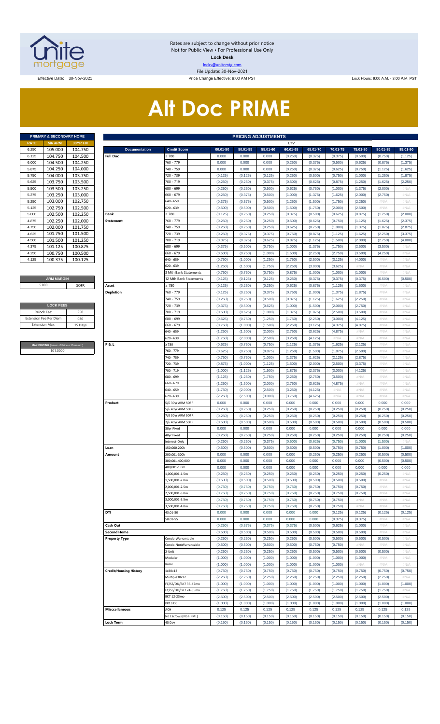

Rates are subject to change without prior notice Not for Public View • For Professional Use Only **Lock Desk** locks@unitemtg.com File Update: 30-Nov-2021

Effective Date: 30-Nov-2021 Price Change Effective: 9:00 AM PST Lock Hours: 9:00 A.M. - 3:00 P.M. PST

# **Alt Doc PRIME**

|             | PRIMARY & SECONDARY HOME |                 |
|-------------|--------------------------|-----------------|
| <b>RATE</b> | <b>5/6 ARM</b>           | <b>30YR FIX</b> |
| 6.250       | 105.000                  | 104.750         |
| 6.125       | 104.750                  | 104.500         |
| 6.000       | 104.500                  | 104.250         |
| 5.875       | 104.250                  | 104.000         |
| 5.750       | 104.000                  | 103.750         |
| 5.625       | 103.750                  | 103.500         |
| 5.500       | 103.500                  | 103.250         |
| 5.375       | 103.250                  | 103.000         |
| 5.250       | 103.000                  | 102.750         |
| 5.125       | 102.750                  | 102.500         |
| 5.000       | 102.500                  | 102.250         |
| 4.875       | 102.250                  | 102.000         |
| 4.750       | 102.000                  | 101.750         |
| 4.625       | 101.750                  | 101.500         |
| 4.500       | 101.500                  | 101.250         |
| 4.375       | 101.125                  | 100.875         |
| 4.250       | 100.750                  | 100.500         |
| 4.125       | 100.375                  | 100.125         |

#### **ARM MARGIN** 5.000

| 250     |
|---------|
| .030    |
| 15 Days |
|         |

**RICING** (Lower of Price or Premium) 101.0000

|                | PRIMARY & SECONDARY HOME                |                    |                               |                        |                    | <b>PRICING ADJUSTMENTS</b> |                    |                    |                    |                    |                    |                    |                    |
|----------------|-----------------------------------------|--------------------|-------------------------------|------------------------|--------------------|----------------------------|--------------------|--------------------|--------------------|--------------------|--------------------|--------------------|--------------------|
| RATE           | <b>5/6 ARM</b>                          | 30YR FIX           |                               |                        |                    |                            |                    | LTV                |                    |                    |                    |                    |                    |
| 6.250          | 105.000                                 | 104.750            | <b>Documentation</b>          | <b>Credit Score</b>    | 00.01-50           | 50.01-55                   | 55.01-60           | 60.01-65           | 65.01-70           | 70.01-75           | 75.01-80           | 80.01-85           | 85.01-90           |
| 6.125          | 104.750                                 | 104.500            | <b>Full Doc</b>               | 2780                   | 0.000              | 0.000                      | 0.000              | (0.250)            | (0.375)            | (0.375)            | (0.500)            | (0.750)            | (1.125)            |
| 6.000          | 104.500                                 | 104.250            |                               | 760 - 779              | 0.000              | 0.000                      | 0.000              | (0.250)            | (0.375)            | (0.500)            | (0.625)            | (0.875)            | (1.375)            |
| 5.875          | 104.250<br>104.000                      | 104.000            |                               | 740 - 759<br>720 - 739 | 0.000              | 0.000                      | 0.000              | (0.250)            | (0.375)            | (0.625)            | (0.750)            | (1.125)            | (1.625)            |
| 5.750<br>5.625 |                                         | 103.750            |                               | 700 - 719              | (0.125)            | (0.125)                    | (0.125)            | (0.250)<br>(0.500) | (0.500)            | (0.750)            | (1.000)            | (1.250)            | (1.875)<br>(2.250) |
|                | 103.750                                 | 103.500            |                               | 680 - 699              | (0.250)            | (0.250)                    | (0.375)            |                    | (0.625)            | (0.875)            | (1.250)            | (1.625)            | #N/A               |
| 5.500<br>5.375 | 103.500<br>103.250                      | 103.250<br>103.000 |                               | 660 - 679              | (0.250)<br>(0.250) | (0.250)<br>(0.375)         | (0.500)<br>(0.500) | (0.625)<br>(1.000) | (0.750)<br>(1.375) | (1.000)<br>(1.625) | (1.375)<br>(2.000) | (2.000)<br>(2.750) | #N/A               |
| 5.250          | 103.000                                 | 102.750            |                               | 640 - 659              | (0.375)            | (0.375)                    | (0.500)            | (1.250)            | (1.500)            | (1.750)            | (2.250)            | #N/A               | #N/A               |
| 5.125          | 102.750                                 | 102.500            |                               | 620 - 639              | (0.500)            | (0.500)                    | (0.500)            | (1.500)            | (1.750)            | (2.000)            | (2.500)            | #N/A               | #N/A               |
| 5.000          | 102.500                                 | 102.250            | Bank                          | $\geq 780$             | (0.125)            | (0.250)                    | (0.250)            | (0.375)            | (0.500)            | (0.625)            | (0.875)            | (1.250)            | (2.000)            |
| 4.875          | 102.250                                 | 102.000            | <b>Statement</b>              | 760 - 779              | (0.250)            | (0.250)                    | (0.250)            | (0.500)            | (0.625)            | (0.750)            | (1.125)            | (1.625)            | (2.375)            |
| 4.750          | 102.000                                 | 101.750            |                               | 740 - 759              | (0.250)            | (0.250)                    | (0.250)            | (0.625)            | (0.750)            | (1.000)            | (1.375)            | (1.875)            | (2.875)            |
| 4.625          | 101.750                                 | 101.500            |                               | 720 - 739              | (0.250)            | (0.375)                    | (0.375)            | (0.750)            | (0.875)            | (1.125)            | (1.625)            | (2.250)            | (3.375)            |
| 4.500          | 101.500                                 | 101.250            |                               | 700 - 719              | (0.375)            | (0.375)                    | (0.625)            | (0.875)            | (1.125)            | (1.500)            | (2.000)            | (2.750)            | (4.000)            |
| 4.375          | 101.125                                 | 100.875            |                               | 680 - 699              | (0.375)            | (0.500)                    | (0.750)            | (1.000)            | (1.375)            | (1.750)            | (2.500)            | (3.500)            | #N/A               |
| 4.250          | 100.750                                 | 100.500            |                               | 660 - 679              | (0.500)            | (0.750)                    | (1.000)            | (1.500)            | (2.250)            | (2.750)            | (3.500)            | (4.250)            | #N/A               |
| 4.125          | 100.375                                 | 100.125            |                               | 640 - 659              | (0.750)            | (1.000)                    | (1.250)            | (1.750)            | (2.500)            | (3.125)            | (4.000)            | #N/A               | #N/A               |
|                |                                         |                    |                               | 620 - 639              | (1.250)            | (1.500)                    | (1.750)            | (2.250)            | (3.000)            | (3.625)            | #N/A               | #N/A               | #N/A               |
|                |                                         |                    |                               | 3 Mth Bank Statements  | (0.750)            | (0.750)                    | (0.750)            | (0.875)            | (1.000)            | (1.000)            | (1.000)            | #N/A               | #N/A               |
|                | <b>ARM MARGIN</b>                       |                    |                               | 12 Mth Bank Statements | (0.125)            | (0.125)                    | (0.125)            | (0.250)            | (0.375)            | (0.375)            | (0.375)            | (0.500)            | (0.500)            |
| 5.000          |                                         | SOFR               | Asset                         | $\geq 780$             | (0.125)            | (0.250)                    | (0.250)            | (0.625)            | (0.875)            | (1.125)            | (1.500)            | #N/A               | #N/A               |
|                |                                         |                    | <b>Depletion</b>              | 760 - 779              | (0.125)            | (0.250)                    | (0.375)            | (0.750)            | (1.000)            | (1.375)            | (1.875)            | #N/A               | #N/A               |
|                |                                         |                    |                               | 740 - 759              | (0.250)            | (0.250)                    | (0.500)            | (0.875)            | (1.125)            | (1.625)            | (2.250)            | $\#N/A$            | #N/A               |
|                | <b>LOCK FEES</b>                        |                    |                               | 720 - 739              | (0.375)            | (0.500)                    | (0.625)            | (1.000)            | (1.500)            | (2.000)            | (2.750)            | #N/A               | #N/A               |
| Relock Fee:    |                                         | .250               |                               | 700 - 719              | (0.500)            | (0.625)                    | (1.000)            | (1.375)            | (1.875)            | (2.500)            | (3.500)            | #N/A               | #N/A               |
|                | xtension Fee Per Diem                   | .030               |                               | 680 - 699              | (0.625)            | (0.750)                    | (1.250)            | (1.750)            | (2.250)            | (3.000)            | (4.125)            | $\#N/A$            | #N/A               |
| Extension Max: |                                         | 15 Days            |                               | 660 - 679              | (0.750)            | (1.000)                    | (1.500)            | (2.250)            | (3.125)            | (4.375)            | (4.875)            | $\#N/A$            | #N/A               |
|                |                                         |                    |                               | 640 - 659              | (1.250)            | (1.500)                    | (2.000)            | (2.750)            | (3.625)            | (4.875)            | #N/A               | #N/A               | #N/A               |
|                |                                         |                    |                               | 620 - 639              | (1.750)            | (2.000)                    | (2.500)            | (3.250)            | (4.125)            | $\#N/A$            | #N/A               | $\#N/A$            | #N/A               |
|                | MAX PRICING (Lower of Price or Premium) |                    | P&L                           | :780                   | (0.625)            | (0.750)                    | (0.750)            | (1.125)            | (1.375)            | (1.625)            | (2.125)            | $\#N/A$            | #N/A               |
|                | 101.0000                                |                    |                               | 760 - 779              | (0.625)            | (0.750)                    | (0.875)            | (1.250)            | (1.500)            | (1.875)            | (2.500)            | #N/A               | #N/A               |
|                |                                         |                    |                               | 740 - 759              | (0.750)            | (0.750)                    | (1.000)            | (1.375)            | (1.625)            | (2.125)            | (2.875)            | #N/A               | #N/A               |
|                |                                         |                    |                               | 720 - 739              | (0.875)            | (1.000)                    | (1.125)            | (1.500)            | (2.000)            | (2.500)            | (3.375)            | $\#N/A$<br>#N/A    | #N/A<br>#N/A       |
|                |                                         |                    |                               | 700 - 719<br>680 - 699 | (1.000)<br>(1.125) | (1.125)<br>(1.250)         | (1.500)<br>(1.750) | (1.875)<br>(2.250) | (2.375)<br>(2.750) | (3.000)<br>(3.500) | (4.125)<br>#N/A    | #N/A               | #N/A               |
|                |                                         |                    |                               | 660 - 679              | (1.250)            | (1.500)                    | (2.000)            | (2.750)            | (3.625)            | (4.875)            | #N//               | #N/A               | #N/A               |
|                |                                         |                    |                               | 640 - 659              | (1.750)            | (2.000)                    | (2.500)            | (3.250)            | (4.125)            | $\#N/A$            | #N//               | $\#N/A$            | #N/A               |
|                |                                         |                    |                               | 620 - 639              | (2.250)            | (2.500)                    | (3.000)            | (3.750)            | (4.625)            | #N/A               | #N//               | #N/A               | #N/A               |
|                |                                         |                    | Product                       | 5/6 30yr ARM SOFR      | 0.000              | 0.000                      | 0.000              | 0.000              | 0.000              | 0.000              | 0.000              | 0.000              | 0.000              |
|                |                                         |                    |                               | 5/6 40yr ARM SOFR      | (0.250)            | (0.250)                    | (0.250)            | (0.250)            | (0.250)            | (0.250)            | (0.250)            | (0.250)            | (0.250)            |
|                |                                         |                    |                               | 7/6 30yr ARM SOFR      | (0.250)            | (0.250)                    | (0.250)            | (0.250)            | (0.250)            | (0.250)            | (0.250)            | (0.250)            | (0.250)            |
|                |                                         |                    |                               | 7/6 40yr ARM SOFR      | (0.500)            | (0.500)                    | (0.500)            | (0.500)            | (0.500)            | (0.500)            | (0.500)            | (0.500)            | (0.500)            |
|                |                                         |                    |                               | 30yr Fixed             | 0.000              | 0.000                      | 0.000              | 0.000              | 0.000              | 0.000              | 0.000              | 0.000              | 0.000              |
|                |                                         |                    |                               | 40yr Fixed             | (0.250)            | (0.250)                    | (0.250)            | (0.250)            | (0.250)            | (0.250)            | (0.250)            | (0.250)            | (0.250)            |
|                |                                         |                    |                               | Interest-Only          | (0.250)            | (0.250)                    | (0.375)            | (0.500)            | (0.625)            | (0.750)            | (1.000)            | (1.500)            | $\#N/\beta$        |
|                |                                         |                    | Loan                          | 150.000-200k           | (0.500)            | (0.500)                    | (0.500)            | (0.500)            | (0.500)            | (0.750)            | (0.750)            | (1.000)            | (1.000)            |
|                |                                         |                    | Amount                        | 200,001-300k           | 0.000              | 0.000                      | 0.000              | 0.000              | (0.250)            | (0.250)            | (0.250)            | (0.500)            | (0.500)            |
|                |                                         |                    |                               | 300,001-400,000        | 0.000              | 0.000                      | 0.000              | 0.000              | 0.000              | 0.000              | 0.000              | (0.500)            | (0.500)            |
|                |                                         |                    |                               | 400,001-1.0m           | 0.000              | 0.000                      | 0.000              | 0.000              | 0.000              | 0.000              | 0.000              | 0.000              | 0.000              |
|                |                                         |                    |                               | ,000,001-1.5m          | (0.250)            | (0.250)                    | (0.250)            | (0.250)            | (0.250)            | (0.250)            | (0.250)            | (0.250)            | #N/A               |
|                |                                         |                    |                               | ,500,001-2.0m          | (0.500)            | (0.500)                    | (0.500)            | (0.500)            | (0.500)            | (0.500)            | (0.500)            | #N/A               | #N/A               |
|                |                                         |                    |                               | ,000,001-2.5m          | (0.750)            | (0.750)                    | (0.750)            | (0.750)            | (0.750)            | (0.750)            | (0.750)            | #N/A               | #N/A               |
|                |                                         |                    |                               | ,500,001-3.0m          | (0.750)            | (0.750)                    | (0.750)            | (0.750)            | (0.750)            | (0.750)            | (0.750)            | #N/A               | #N/A               |
|                |                                         |                    |                               | ,000,001-3.5m          | (0.750)            | (0.750)                    | (0.750)            | (0.750)            | (0.750)            | (0.750)            | #N/A               | #N/A               | #N/A               |
|                |                                         |                    |                               | ,500,001-4.0m          | (0.750)            | (0.750)                    | (0.750)            | (0.750)            | (0.750)            | (0.750)            | #N/A               | #N/A               | #N/A               |
|                |                                         |                    | DTI                           | 43.01-50               | 0.000              | 0.000                      | 0.000              | 0.000              | 0.000              | (0.125)            | (0.125)            | (0.125)            | (0.125)            |
|                |                                         |                    | Cash Out                      | 50.01-55               | 0.000<br>(0.250)   | 0.000<br>(0.375)           | 0.000<br>(0.375)   | 0.000<br>(0.375)   | 0.000<br>(0.500)   | (0.375)<br>(0.625) | (0.375)<br>(1.000) | #N/A<br>#N/A       | #N/A<br>#N/A       |
|                |                                         |                    | <b>Second Home</b>            |                        | (0.500)            | (0.500)                    | (0.500)            | (0.500)            | (0.500)            | (0.500)            | (0.500)            | #N/A               | #N/A               |
|                |                                         |                    | <b>Property Type</b>          | Condo-Warrantable      | (0.250)            | (0.250)                    | (0.250)            | (0.250)            | (0.500)            | (0.500)            | (0.500)            | (0.500)            | #N/A               |
|                |                                         |                    |                               | Condo-NonWarrantable   | (0.500)            | (0.500)                    | (0.500)            | (0.500)            | (0.750)            | (0.750)            | #N/A               | #N/A               | #N/A               |
|                |                                         |                    |                               | !-Unit                 | (0.250)            | (0.250)                    | (0.250)            | (0.250)            | (0.500)            | (0.500)            | (0.500)            | (0.500)            | #N/A               |
|                |                                         |                    |                               | Modular                | (1.000)            | (1.000)                    | (1.000)            | (1.000)            | (1.000)            | (1.000)            | (1.000)            | #N/A               | #N/A               |
|                |                                         |                    |                               | Rural                  | (1.000)            | (1.000)                    | (1.000)            | (1.000)            | (1.000)            | (1.000)            | #N/A               | #N/A               | #N/A               |
|                |                                         |                    | <b>Credit/Housing History</b> | 1x30x12                | (0.750)            | (0.750)                    | (0.750)            | (0.750)            | (0.750)            | (0.750)            | (0.750)            | (0.750)            | (0.750)            |
|                |                                         |                    |                               | Multiple30x12          | (2.250)            | (2.250)                    | (2.250)            | (2.250)            | (2.250)            | (2.250)            | (2.250)            | (2.250)            | #N/A               |
|                |                                         |                    |                               | C/SS/DIL/BK7 36-47mo   | (1.000)            | (1.000)                    | (1.000)            | (1.000)            | (1.000)            | (1.000)            | (1.000)            | (1.000)            | (1.000)            |
|                |                                         |                    |                               | C/SS/DIL/BK7 24-35mo   | (1.750)            | (1.750)                    | (1.750)            | (1.750)            | (1.750)            | (1.750)            | (1.750)            | (1.750)            | #N/A               |
|                |                                         |                    |                               | BK7 12-23mo            | (2.500)            | (2.500)                    | (2.500)            | (2.500)            | (2.500)            | (2.500)            | (2.500)            | (2.500)            | #N/A               |
|                |                                         |                    |                               | BK13DC                 | (1.000)            | (1.000)                    | (1.000)            | (1.000)            | (1.000)            | (1.000)            | (1.000)            | (1.000)            | (1.000)            |
|                |                                         |                    | <b>Misccellaneous</b>         | ACH                    | 0.125              | 0.125                      | 0.125              | 0.125              | 0.125              | 0.125              | 0.125              | 0.125              | 0.125              |
|                |                                         |                    |                               | No Escrows (No HPML)   | (0.150)            | (0.150)                    | (0.150)            | (0.150)            | (0.150)            | (0.150)            | (0.150)            | (0.150)            | (0.150)            |
|                |                                         |                    | Lock Term                     | 45 Day                 | (0.150)            | (0.150)                    | (0.150)            | (0.150)            | (0.150)            | (0.150)            | (0.150)            | (0.150)            | (0.150)            |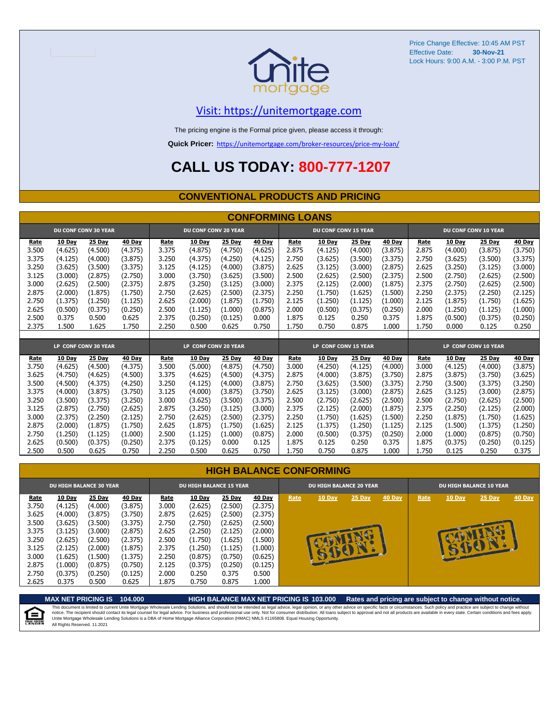

### [V](https://unitemortgage.com/)isit: https://unitemortgage.com

The pricing engine is the Formal price given, please access it through:

**Quick Pricer:** [https://un](https://unitemortgage.com/broker-resources/price-my-loan/)itemortgage.com/broker-resources/price-my-loan/

## **CALL US TODAY: 800-777-1207**

#### **CONVENTIONAL PRODUCTS AND PRICING**

|       | <b>CONFORMING LOANS</b> |                             |         |       |                             |         |         |       |                             |         |         |                      |               |                      |         |
|-------|-------------------------|-----------------------------|---------|-------|-----------------------------|---------|---------|-------|-----------------------------|---------|---------|----------------------|---------------|----------------------|---------|
|       |                         | <b>DU CONF CONV 30 YEAR</b> |         |       | <b>DU CONF CONV 20 YEAR</b> |         |         |       | <b>DU CONF CONV 15 YEAR</b> |         |         | DU CONF CONV 10 YEAR |               |                      |         |
| Rate  | 10 Day                  | 25 Day                      | 40 Day  | Rate  | 10 Day                      | 25 Day  | 40 Day  | Rate  | 10 Day                      | 25 Day  | 40 Day  | Rate                 | <b>10 Day</b> | 25 Day               | 40 Day  |
| 3.500 | (4.625)                 | (4.500)                     | (4.375) | 3.375 | (4.875)                     | (4.750) | (4.625) | 2.875 | (4.125)                     | (4.000) | (3.875) | 2.875                | (4.000)       | (3.875)              | (3.750) |
| 3.375 | (4.125)                 | (4.000)                     | (3.875) | 3.250 | (4.375)                     | (4.250) | (4.125) | 2.750 | (3.625)                     | (3.500) | (3.375) | 2.750                | (3.625)       | (3.500)              | (3.375) |
| 3.250 | (3.625)                 | (3.500)                     | (3.375) | 3.125 | (4.125)                     | (4.000) | (3.875) | 2.625 | (3.125)                     | (3.000) | (2.875) | 2.625                | (3.250)       | (3.125)              | (3.000) |
| 3.125 | (3.000)                 | (2.875)                     | (2.750) | 3.000 | (3.750)                     | (3.625) | (3.500) | 2.500 | (2.625)                     | (2.500) | (2.375) | 2.500                | (2.750)       | (2.625)              | (2.500) |
| 3.000 | (2.625)                 | (2.500)                     | (2.375) | 2.875 | (3.250)                     | (3.125) | (3.000) | 2.375 | (2.125)                     | (2.000) | (1.875) | 2.375                | (2.750)       | (2.625)              | (2.500) |
| 2.875 | (2.000)                 | (1.875)                     | (1.750) | 2.750 | (2.625)                     | (2.500) | (2.375) | 2.250 | (1.750)                     | (1.625) | (1.500) | 2.250                | (2.375)       | (2.250)              | (2.125) |
| 2.750 | (1.375)                 | (1.250)                     | (1.125) | 2.625 | (2.000)                     | (1.875) | (1.750) | 2.125 | (1.250)                     | (1.125) | (1.000) | 2.125                | (1.875)       | (1.750)              | (1.625) |
| 2.625 | (0.500)                 | (0.375)                     | (0.250) | 2.500 | (1.125)                     | (1.000) | (0.875) | 2.000 | (0.500)                     | (0.375) | (0.250) | 2.000                | (1.250)       | (1.125)              | (1.000) |
| 2.500 | 0.375                   | 0.500                       | 0.625   | 2.375 | (0.250)                     | (0.125) | 0.000   | 1.875 | 0.125                       | 0.250   | 0.375   | 1.875                | (0.500)       | (0.375)              | (0.250) |
| 2.375 | 1.500                   | 1.625                       | 1.750   | 2.250 | 0.500                       | 0.625   | 0.750   | 1.750 | 0.750                       | 0.875   | 1.000   | 1.750                | 0.000         | 0.125                | 0.250   |
|       |                         |                             |         |       |                             |         |         |       |                             |         |         |                      |               |                      |         |
|       |                         | LP CONF CONV 30 YEAR        |         |       | LP CONF CONV 20 YEAR        |         |         |       | LP CONF CONV 15 YEAR        |         |         |                      |               | LP CONF CONV 10 YEAR |         |
| Rate  | 10 Day                  | 25 Day                      | 40 Day  | Rate  | 10 Day                      | 25 Day  | 40 Day  | Rate  | 10 Day                      | 25 Day  | 40 Day  | Rate                 | 10 Day        | 25 Day               | 40 Day  |
| 3.750 | (4.625)                 | (4.500)                     | (4.375) | 3.500 | (5.000)                     | (4.875) | (4.750) | 3.000 | (4.250)                     | (4.125) | (4.000) | 3.000                | (4.125)       | (4.000)              | (3.875) |
| 3.625 | (4.750)                 | (4.625)                     | (4.500) | 3.375 | (4.625)                     | (4.500) | (4.375) | 2.875 | (4.000)                     | (3.875) | (3.750) | 2.875                | (3.875)       | (3.750)              | (3.625) |
| 3.500 | (4.500)                 | (4.375)                     | (4.250) | 3.250 | (4.125)                     | (4.000) | (3.875) | 2.750 | (3.625)                     | (3.500) | (3.375) | 2.750                | (3.500)       | (3.375)              | (3.250) |
| 3.375 | (4.000)                 | (3.875)                     | (3.750) | 3.125 | (4.000)                     | (3.875) | (3.750) | 2.625 | (3.125)                     | (3.000) | (2.875) | 2.625                | (3.125)       | (3.000)              | (2.875) |
| 3.250 | (3.500)                 | (3.375)                     | (3.250) | 3.000 | (3.625)                     | (3.500) | (3.375) | 2.500 | (2.750)                     | (2.625) | (2.500) | 2.500                | (2.750)       | (2.625)              | (2.500) |
| 3.125 | (2.875)                 | (2.750)                     | (2.625) | 2.875 | (3.250)                     | (3.125) | (3.000) | 2.375 | (2.125)                     | (2.000) | (1.875) | 2.375                | (2.250)       | (2.125)              | (2.000) |
| 3.000 | (2.375)                 | (2.250)                     | (2.125) | 2.750 | (2.625)                     | (2.500) | (2.375) | 2.250 | (1.750)                     | (1.625) | (1.500) | 2.250                | (1.875)       | (1.750)              | (1.625) |
| 2.875 | (2.000)                 | (1.875)                     | (1.750) | 2.625 | (1.875)                     | (1.750) | (1.625) | 2.125 | (1.375)                     | (1.250) | (1.125) | 2.125                | (1.500)       | (1.375)              | (1.250) |
| 2.750 | (1.250)                 | (1.125)                     | (1.000) | 2.500 | (1.125)                     | (1.000) | (0.875) | 2.000 | (0.500)                     | (0.375) | (0.250) | 2.000                | (1.000)       | (0.875)              | (0.750) |
| 2.625 | (0.500)                 | (0.375)                     | (0.250) | 2.375 | (0.125)                     | 0.000   | 0.125   | 1.875 | 0.125                       | 0.250   | 0.375   | 1.875                | (0.375)       | (0.250)              | (0.125) |
| 2.500 | 0.500                   | 0.625                       | 0.750   | 2.250 | 0.500                       | 0.625   | 0.750   | 1.750 | 0.750                       | 0.875   | 1.000   | 1.750                | 0.125         | 0.250                | 0.375   |

|                                                                              | <b>DU HIGH BALANCE 30 YEAR</b>                                                                        |                                                                                                       |                                                                                                       |                                                                              | <b>DU HIGH BALANCE 15 YEAR</b>                                                                        |                                                                                                       |                                                                                                       |      | <b>DU HIGH BALANCE 20 YEAR</b> |                   |               | <b>DU HIGH BALANCE 10 YEAR</b> |               |               |               |  |
|------------------------------------------------------------------------------|-------------------------------------------------------------------------------------------------------|-------------------------------------------------------------------------------------------------------|-------------------------------------------------------------------------------------------------------|------------------------------------------------------------------------------|-------------------------------------------------------------------------------------------------------|-------------------------------------------------------------------------------------------------------|-------------------------------------------------------------------------------------------------------|------|--------------------------------|-------------------|---------------|--------------------------------|---------------|---------------|---------------|--|
| Rate<br>3.750<br>3.625<br>3.500<br>3.375<br>3.250<br>3.125<br>3.000<br>2.875 | <b>10 Day</b><br>(4.125)<br>(4.000)<br>(3.625)<br>(3.125)<br>(2.625)<br>(2.125)<br>(1.625)<br>(1.000) | <b>25 Day</b><br>(4.000)<br>(3.875)<br>(3.500)<br>(3.000)<br>(2.500)<br>(2.000)<br>(1.500)<br>(0.875) | <b>40 Day</b><br>(3.875)<br>(3.750)<br>(3.375)<br>(2.875)<br>(2.375)<br>(1.875)<br>(1.375)<br>(0.750) | Rate<br>3.000<br>2.875<br>2.750<br>2.625<br>2.500<br>2.375<br>2.250<br>2.125 | <b>10 Day</b><br>(2.625)<br>(2.625)<br>(2.750)<br>(2.250)<br>(1.750)<br>(1.250)<br>(0.875)<br>(0.375) | <b>25 Day</b><br>(2.500)<br>(2.500)<br>(2.625)<br>(2.125)<br>(1.625)<br>(1.125)<br>(0.750)<br>(0.250) | <b>40 Day</b><br>(2.375)<br>(2.375)<br>(2.500)<br>(2.000)<br>(1.500)<br>(1.000)<br>(0.625)<br>(0.125) | Rate | <b>10 Day</b><br>BU            | 25 Day<br>$e^{-}$ | <b>40 Day</b> | Rate                           | <b>10 Day</b> | $25$ Day<br>œ | <b>40 Day</b> |  |
| 2.750<br>2.625                                                               | (0.375)<br>0.375                                                                                      | (0.250)<br>0.500                                                                                      | (0.125)<br>0.625                                                                                      | 2.000<br>875.ء                                                               | 0.250<br>0.750                                                                                        | 0.375<br>0.875                                                                                        | 0.500<br>1.000                                                                                        |      |                                |                   |               |                                |               |               |               |  |

**MAX NET PRICING IS 104.000 HIGH BALANCE MAX NET PRICING IS 103.000 Rates and pricing are subject to change without notice.** This document is limited to current Unite Mortgage Wholesale Lending Solutions, and should not be intended as legal advice, legal opinion, or any other advice on specific facts or circumstances. Such policy and practice ar 自 All Rights Reserved. 11.2021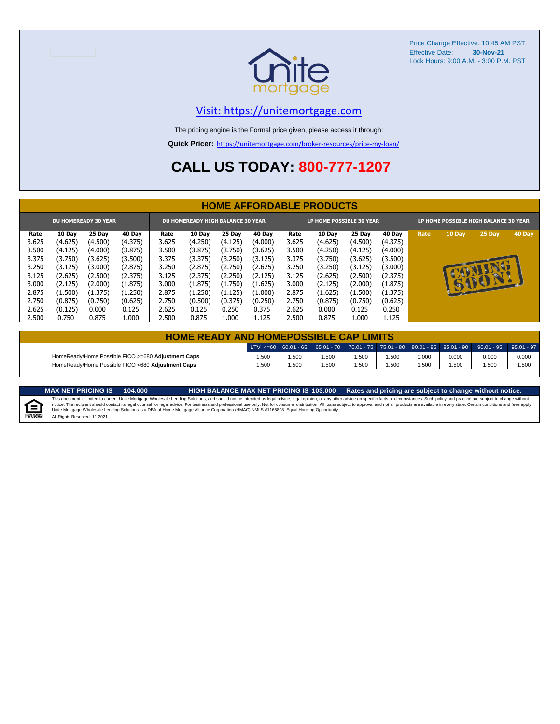

### [V](https://unitemortgage.com/)isit: https://unitemortgage.com

The pricing engine is the Formal price given, please access it through:

**Quick Pricer:** [https://un](https://unitemortgage.com/broker-resources/price-my-loan/)itemortgage.com/broker-resources/price-my-loan/

## **CALL US TODAY: 800-777-1207**

|                             | <b>HOME AFFORDABLE PRODUCTS</b> |         |               |       |                                          |         |               |                          |         |               |         |                                       |        |        |        |
|-----------------------------|---------------------------------|---------|---------------|-------|------------------------------------------|---------|---------------|--------------------------|---------|---------------|---------|---------------------------------------|--------|--------|--------|
| <b>DU HOMEREADY 30 YEAR</b> |                                 |         |               |       | <b>DU HOMEREADY HIGH BALANCE 30 YEAR</b> |         |               | LP HOME POSSIBLE 30 YEAR |         |               |         | LP HOME POSSIBLE HIGH BALANCE 30 YEAR |        |        |        |
| Rate                        | 10 Day                          | 25 Day  | <b>40 Day</b> | Rate  | <b>10 Day</b>                            | 25 Day  | <b>40 Day</b> | Rate                     | 10 Day  | <b>25 Day</b> | 40 Day  | Rate                                  | 10 Day | 25 Day | 40 Day |
| 3.625                       | (4.625)                         | (4.500) | (4.375)       | 3.625 | (4.250)                                  | (4.125) | (4.000)       | 3.625                    | (4.625) | (4.500)       | (4.375) |                                       |        |        |        |
| 3.500                       | (4.125)                         | (4.000) | (3.875)       | 3.500 | (3.875)                                  | (3.750) | (3.625)       | 3.500                    | (4.250) | (4.125)       | (4.000) |                                       |        |        |        |
| 3.375                       | (3.750)                         | (3.625) | (3.500)       | 3.375 | (3.375)                                  | (3.250) | (3.125)       | 3.375                    | (3.750) | (3.625)       | (3.500) |                                       |        |        |        |
| 3.250                       | (3.125)                         | (3.000) | (2.875)       | 3.250 | (2.875)                                  | (2.750) | (2.625)       | 3.250                    | (3.250) | (3.125)       | (3.000) |                                       |        |        |        |
| 3.125                       | (2.625)                         | (2.500) | (2.375)       | 3.125 | (2.375)                                  | (2.250) | (2.125)       | 3.125                    | (2.625) | (2.500)       | (2.375) |                                       |        | СĐ.    |        |
| 3.000                       | (2.125)                         | (2.000) | (1.875)       | 3.000 | (1.875)                                  | (1.750) | (1.625)       | 3.000                    | (2.125) | (2.000)       | (1.875) |                                       |        | SBON   |        |
| 2.875                       | (1.500)                         | (1.375) | (1.250)       | 2.875 | (1.250)                                  | (1.125) | (1.000)       | 2.875                    | (1.625) | (1.500)       | (1.375) |                                       |        |        |        |
| 2.750                       | (0.875)                         | (0.750) | (0.625)       | 2.750 | (0.500)                                  | (0.375) | (0.250)       | 2.750                    | (0.875) | (0.750)       | (0.625) |                                       |        |        |        |
| 2.625                       | (0.125)                         | 0.000   | 0.125         | 2.625 | 0.125                                    | 0.250   | 0.375         | 2.625                    | 0.000   | 0.125         | 0.250   |                                       |        |        |        |
| 2.500                       | 0.750                           | 0.875   | 1.000         | 2.500 | 0.875                                    | 1.000   | 1.125         | 2.500                    | 0.875   | 1.000         | 1.125   |                                       |        |        |        |

| <b>HOME READY AND HOMEPOSSIBLE CAP LIMITS</b>      |      |      |      |      |      |       |       |                                                                                                      |       |  |  |  |  |
|----------------------------------------------------|------|------|------|------|------|-------|-------|------------------------------------------------------------------------------------------------------|-------|--|--|--|--|
|                                                    |      |      |      |      |      |       |       | $LTV \le 60$ 60.01 - 65 65.01 - 70 70.01 - 75 75.01 - 80 80.01 - 85 85.01 - 90 90.01 - 95 95.01 - 97 |       |  |  |  |  |
| HomeReady/Home Possible FICO >=680 Adjustment Caps | .500 | .500 | .500 | .500 | .500 | 0.000 | 0.000 | 0.000                                                                                                | 0.000 |  |  |  |  |
| HomeReady/Home Possible FICO <680 Adiustment Caps  | .500 | .500 | .500 | .500 | .500 | .500  | .500  | .500                                                                                                 | 1.500 |  |  |  |  |

E

MAX NET PRICING IS 103.000 Rates and pricing are subject to change without notice.<br>This document is limited to current Unite Mortgage Wholesale Lending Solutions, and should not be intended as legal advice, legal opinion, All Rights Reserved. 11.2021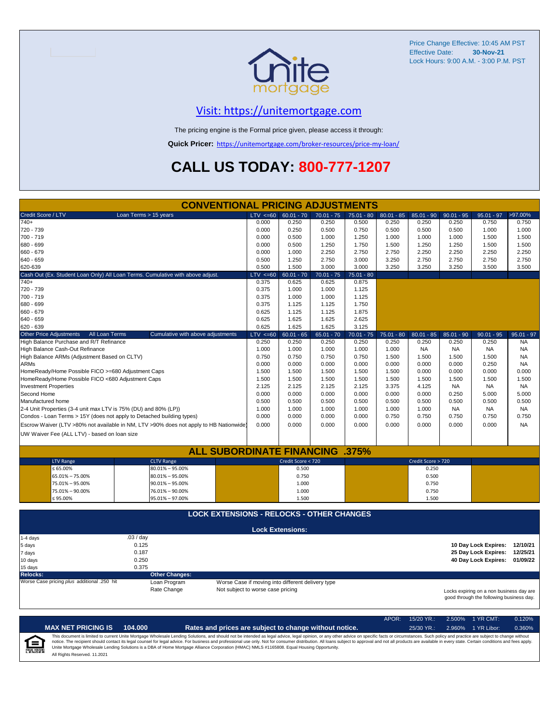

### [V](https://unitemortgage.com/)isit: https://unitemortgage.com

The pricing engine is the Formal price given, please access it through:

**Quick Pricer:** [https://un](https://unitemortgage.com/broker-resources/price-my-loan/)itemortgage.com/broker-resources/price-my-loan/

## **CALL US TODAY: 800-777-1207**

|                                                                       | <b>CONVENTIONAL PRICING ADJUSTMENTS</b>                                                |                                   |                                                   |              |              |              |                    |              |                                                                                      |              |
|-----------------------------------------------------------------------|----------------------------------------------------------------------------------------|-----------------------------------|---------------------------------------------------|--------------|--------------|--------------|--------------------|--------------|--------------------------------------------------------------------------------------|--------------|
| Credit Score / LTV                                                    | Loan Terms > 15 years                                                                  | $LTV \le 60$                      | $60.01 - 70$                                      | $70.01 - 75$ | $75.01 - 80$ | $80.01 - 85$ | $85.01 - 90$       | $90.01 - 95$ | $95.01 - 97$                                                                         | >97.00%      |
| $740+$                                                                |                                                                                        | 0.000                             | 0.250                                             | 0.250        | 0.500        | 0.250        | 0.250              | 0.250        | 0.750                                                                                | 0.750        |
| 720 - 739                                                             |                                                                                        | 0.000                             | 0.250                                             | 0.500        | 0.750        | 0.500        | 0.500              | 0.500        | 1.000                                                                                | 1.000        |
| 700 - 719                                                             |                                                                                        | 0.000                             | 0.500                                             | 1.000        | 1.250        | 1.000        | 1.000              | 1.000        | 1.500                                                                                | 1.500        |
| 680 - 699                                                             |                                                                                        | 0.000                             | 0.500                                             | 1.250        | 1.750        | 1.500        | 1.250              | 1.250        | 1.500                                                                                | 1.500        |
| 660 - 679                                                             |                                                                                        | 0.000                             | 1.000                                             | 2.250        | 2.750        | 2.750        | 2.250              | 2.250        | 2.250                                                                                | 2.250        |
| 640 - 659                                                             |                                                                                        | 0.500                             | 1.250                                             | 2.750        | 3.000        | 3.250        | 2.750              | 2.750        | 2.750                                                                                | 2.750        |
| 620-639                                                               |                                                                                        | 0.500                             | 1.500                                             | 3.000        | 3.000        | 3.250        | 3.250              | 3.250        | 3.500                                                                                | 3.500        |
|                                                                       | Cash Out (Ex. Student Loan Only) All Loan Terms. Cumulative with above adjust.         | $LTV \le 60$                      | $60.01 - 70$                                      | $70.01 - 75$ | $75.01 - 80$ |              |                    |              |                                                                                      |              |
| 740+                                                                  |                                                                                        | 0.375                             | 0.625                                             | 0.625        | 0.875        |              |                    |              |                                                                                      |              |
| 720 - 739                                                             |                                                                                        | 0.375                             | 1.000                                             | 1.000        | 1.125        |              |                    |              |                                                                                      |              |
| 700 - 719                                                             |                                                                                        | 0.375                             | 1.000                                             | 1.000        | 1.125        |              |                    |              |                                                                                      |              |
| 680 - 699                                                             |                                                                                        | 0.375                             | 1.125                                             | 1.125        | 1.750        |              |                    |              |                                                                                      |              |
| 660 - 679                                                             |                                                                                        | 0.625                             | 1.125                                             | 1.125        | 1.875        |              |                    |              |                                                                                      |              |
| 640 - 659                                                             |                                                                                        | 0.625                             | 1.625                                             | 1.625        | 2.625        |              |                    |              |                                                                                      |              |
| 620 - 639                                                             |                                                                                        | 0.625                             | 1.625                                             | 1.625        | 3.125        |              |                    |              |                                                                                      |              |
| Other Price Adjustments<br>All Loan Terms                             | Cumulative with above adjustments                                                      | $LTV \le 60$                      | $60.01 - 65$                                      | $65.01 - 70$ | $70.01 - 75$ | $75.01 - 80$ | $80.01 - 85$       | $85.01 - 90$ | $90.01 - 95$                                                                         | $95.01 - 97$ |
| High Balance Purchase and R/T Refinance                               |                                                                                        | 0.250                             | 0.250                                             | 0.250        | 0.250        | 0.250        | 0.250              | 0.250        | 0.250                                                                                | <b>NA</b>    |
| High Balance Cash-Out Refinance                                       |                                                                                        | 1.000                             | 1.000                                             | 1.000        | 1.000        | 1.000        | <b>NA</b>          | <b>NA</b>    | <b>NA</b>                                                                            | <b>NA</b>    |
| High Balance ARMs (Adjustment Based on CLTV)                          |                                                                                        | 0.750                             | 0.750                                             | 0.750        | 0.750        | 1.500        | 1.500              | 1.500        | 1.500                                                                                | <b>NA</b>    |
| <b>ARMs</b>                                                           |                                                                                        | 0.000                             | 0.000                                             | 0.000        | 0.000        | 0.000        | 0.000              | 0.000        | 0.250                                                                                | <b>NA</b>    |
| HomeReady/Home Possible FICO >=680 Adjustment Caps                    |                                                                                        | 1.500                             | 1.500                                             | 1.500        | 1.500        | 1.500        | 0.000              | 0.000        | 0.000                                                                                | 0.000        |
| HomeReady/Home Possible FICO <680 Adjustment Caps                     |                                                                                        | 1.500                             | 1.500                                             | 1.500        | 1.500        | 1.500        | 1.500              | 1.500        | 1.500                                                                                | 1.500        |
| <b>Investment Properties</b>                                          |                                                                                        | 2.125                             | 2.125                                             | 2.125        | 2.125        | 3.375        | 4.125              | <b>NA</b>    | <b>NA</b>                                                                            | <b>NA</b>    |
| Second Home                                                           |                                                                                        | 0.000                             | 0.000                                             | 0.000        | 0.000        | 0.000        | 0.000              | 0.250        | 5.000                                                                                | 5.000        |
| Manufactured home                                                     |                                                                                        | 0.500                             | 0.500                                             | 0.500        | 0.500        | 0.500        | 0.500              | 0.500        | 0.500                                                                                | 0.500        |
| 2-4 Unit Properties (3-4 unit max LTV is 75% (DU) and 80% (LP))       |                                                                                        | 1.000                             | 1.000                                             | 1.000        | 1.000        | 1.000        | 1.000              | <b>NA</b>    | <b>NA</b>                                                                            | <b>NA</b>    |
| Condos - Loan Terms > 15Y (does not apply to Detached building types) |                                                                                        | 0.000                             | 0.000                                             | 0.000        | 0.000        | 0.750        | 0.750              | 0.750        | 0.750                                                                                | 0.750        |
|                                                                       | Escrow Waiver (LTV >80% not available in NM, LTV >90% does not apply to HB Nationwide) | 0.000                             | 0.000                                             | 0.000        | 0.000        | 0.000        | 0.000              | 0.000        | 0.000                                                                                | <b>NA</b>    |
| UW Waiver Fee (ALL LTV) - based on loan size                          |                                                                                        |                                   |                                                   |              |              |              |                    |              |                                                                                      |              |
|                                                                       |                                                                                        |                                   |                                                   |              |              |              |                    |              |                                                                                      |              |
|                                                                       | <b>ALL SUBORDINATE FINANCING .375%</b>                                                 |                                   |                                                   |              |              |              |                    |              |                                                                                      |              |
| <b>LTV Range</b>                                                      | <b>CLTV Range</b>                                                                      |                                   | Credit Score < 720                                |              |              |              | Credit Score > 720 |              |                                                                                      |              |
| $\leq 65.00\%$                                                        | $80.01\% - 95.00\%$                                                                    |                                   | 0.500                                             |              |              |              | 0.250              |              |                                                                                      |              |
| 65.01% - 75.00%                                                       | $80.01\% - 95.00\%$                                                                    |                                   | 0.750                                             |              |              |              | 0.500              |              |                                                                                      |              |
| 75.01% - 95.00%                                                       | $90.01\% - 95.00\%$                                                                    |                                   | 1.000                                             |              |              |              | 0.750              |              |                                                                                      |              |
| 75.01% - 90.00%                                                       | 76.01% - 90.00%                                                                        |                                   | 1.000                                             |              |              |              | 0.750              |              |                                                                                      |              |
| ≤ 95.00%                                                              | 95.01% - 97.00%                                                                        |                                   | 1.500                                             |              |              |              | 1.500              |              |                                                                                      |              |
|                                                                       | <b>LOCK EXTENSIONS - RELOCKS - OTHER CHANGES</b>                                       |                                   |                                                   |              |              |              |                    |              |                                                                                      |              |
|                                                                       |                                                                                        |                                   |                                                   |              |              |              |                    |              |                                                                                      |              |
|                                                                       |                                                                                        |                                   | <b>Lock Extensions:</b>                           |              |              |              |                    |              |                                                                                      |              |
| 1-4 days                                                              | .03/day                                                                                |                                   |                                                   |              |              |              |                    |              |                                                                                      |              |
| 5 days                                                                | 0.125<br>0.187                                                                         |                                   |                                                   |              |              |              |                    |              | 10 Day Lock Expires: 12/10/21                                                        | 12/25/21     |
| 7 days                                                                |                                                                                        |                                   |                                                   |              |              |              |                    |              | 25 Day Lock Expires:                                                                 |              |
| 10 days                                                               | 0.250                                                                                  |                                   |                                                   |              |              |              |                    |              | 40 Day Lock Expires: 01/09/22                                                        |              |
| 15 days                                                               | 0.375<br><b>Other Changes:</b>                                                         |                                   |                                                   |              |              |              |                    |              |                                                                                      |              |
| <b>Relocks:</b><br>Worse Case pricing plus additional .250 hit        | Loan Program                                                                           |                                   | Worse Case if moving into different delivery type |              |              |              |                    |              |                                                                                      |              |
|                                                                       | Rate Change                                                                            | Not subject to worse case pricing |                                                   |              |              |              |                    |              |                                                                                      |              |
|                                                                       |                                                                                        |                                   |                                                   |              |              |              |                    |              | Locks expiring on a non business day are<br>good through the following business day. |              |

APOR: 15/20 YR.: 2.500% 1 YR CMT: 0.120% **MAX NET PRICING IS 104.000 Rates and prices are subject to change without notice.** 25/30 YR.: 2.960% 1 YR Libor: 0.360% This document is limited to current Unite Mortgage Wholesale Lending Solutions, and should not be intended as legal advice, legal opinion, or any other advice on specific facts or circumstances. Such policy and practice ar  $\equiv$ **EQUAL HOUSING** All Rights Reserved. 11.2021